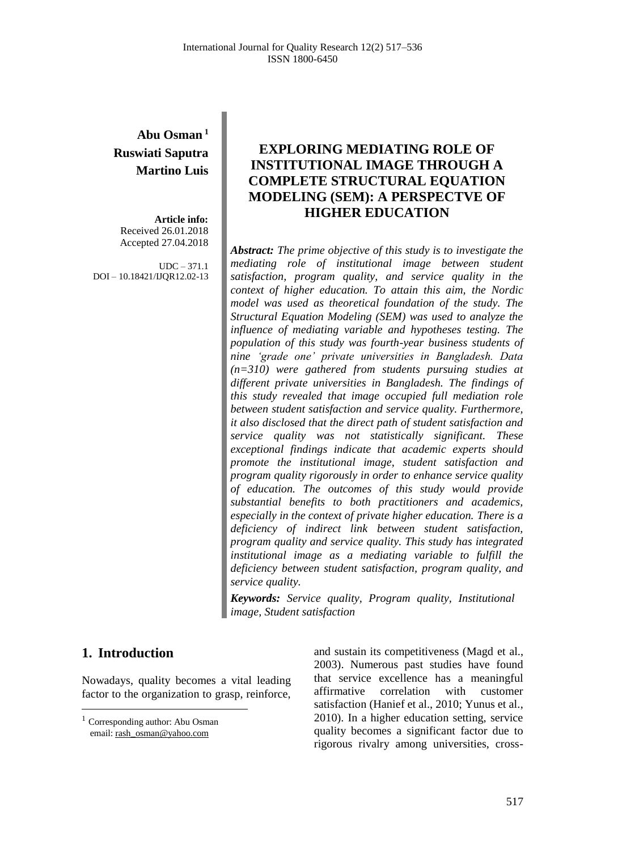# **Abu Osman <sup>1</sup> Ruswiati Saputra Martino Luis**

**Article info:** Received 26.01.2018 Accepted 27.04.2018

UDC – 371.1 DOI – 10.18421/IJQR12.02-13

# **EXPLORING MEDIATING ROLE OF INSTITUTIONAL IMAGE THROUGH A COMPLETE STRUCTURAL EQUATION MODELING (SEM): A PERSPECTVE OF HIGHER EDUCATION**

*Abstract: The prime objective of this study is to investigate the mediating role of institutional image between student satisfaction, program quality, and service quality in the context of higher education. To attain this aim, the Nordic model was used as theoretical foundation of the study. The Structural Equation Modeling (SEM) was used to analyze the influence of mediating variable and hypotheses testing. The population of this study was fourth-year business students of nine 'grade one' private universities in Bangladesh. Data (n=310) were gathered from students pursuing studies at different private universities in Bangladesh. The findings of this study revealed that image occupied full mediation role between student satisfaction and service quality. Furthermore, it also disclosed that the direct path of student satisfaction and service quality was not statistically significant. These exceptional findings indicate that academic experts should promote the institutional image, student satisfaction and program quality rigorously in order to enhance service quality of education. The outcomes of this study would provide substantial benefits to both practitioners and academics, especially in the context of private higher education. There is a deficiency of indirect link between student satisfaction, program quality and service quality. This study has integrated institutional image as a mediating variable to fulfill the deficiency between student satisfaction, program quality, and service quality.*

*Keywords: Service quality, Program quality, Institutional image, Student satisfaction*

# **1. Introduction<sup>1</sup>**

 $\overline{a}$ 

Nowadays, quality becomes a vital leading factor to the organization to grasp, reinforce,

and sustain its competitiveness (Magd et al., 2003). Numerous past studies have found that service excellence has a meaningful affirmative correlation with customer satisfaction (Hanief et al., 2010; Yunus et al., 2010). In a higher education setting, service quality becomes a significant factor due to rigorous rivalry among universities, cross-

<sup>&</sup>lt;sup>1</sup> Corresponding author: Abu Osman email[: rash\\_osman@yahoo.com](mailto:rash_osman@yahoo.com)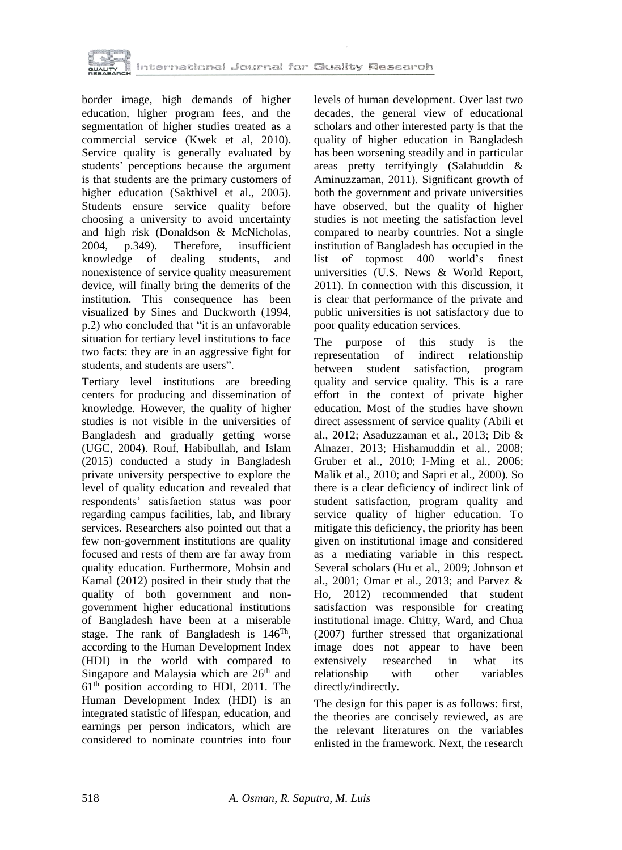

border image, high demands of higher education, higher program fees, and the segmentation of higher studies treated as a commercial service (Kwek et al, 2010). Service quality is generally evaluated by students' perceptions because the argument is that students are the primary customers of higher education (Sakthivel et al., 2005). Students ensure service quality before choosing a university to avoid uncertainty and high risk (Donaldson & McNicholas, 2004, p.349). Therefore, insufficient knowledge of dealing students, and nonexistence of service quality measurement device, will finally bring the demerits of the institution. This consequence has been visualized by Sines and Duckworth (1994, p.2) who concluded that "it is an unfavorable situation for tertiary level institutions to face two facts: they are in an aggressive fight for students, and students are users".

Tertiary level institutions are breeding centers for producing and dissemination of knowledge. However, the quality of higher studies is not visible in the universities of Bangladesh and gradually getting worse (UGC, 2004). Rouf, Habibullah, and Islam (2015) conducted a study in Bangladesh private university perspective to explore the level of quality education and revealed that respondents' satisfaction status was poor regarding campus facilities, lab, and library services. Researchers also pointed out that a few non-government institutions are quality focused and rests of them are far away from quality education. Furthermore, Mohsin and Kamal (2012) posited in their study that the quality of both government and nongovernment higher educational institutions of Bangladesh have been at a miserable stage. The rank of Bangladesh is  $146^{Th}$ , according to the Human Development Index (HDI) in the world with compared to Singapore and Malaysia which are  $26<sup>th</sup>$  and  $61<sup>th</sup>$  position according to HDI, 2011. The Human Development Index (HDI) is an integrated statistic of lifespan, education, and earnings per person indicators, which are considered to nominate countries into four

levels of human development. Over last two decades, the general view of educational scholars and other interested party is that the quality of higher education in Bangladesh has been worsening steadily and in particular areas pretty terrifyingly (Salahuddin & Aminuzzaman, 2011). Significant growth of both the government and private universities have observed, but the quality of higher studies is not meeting the satisfaction level compared to nearby countries. Not a single institution of Bangladesh has occupied in the list of topmost 400 world's finest universities (U.S. News & World Report, 2011). In connection with this discussion, it is clear that performance of the private and public universities is not satisfactory due to poor quality education services.

The purpose of this study is the representation of indirect relationship between student satisfaction, program quality and service quality. This is a rare effort in the context of private higher education. Most of the studies have shown direct assessment of service quality (Abili et al., 2012; Asaduzzaman et al., 2013; Dib & Alnazer, 2013; Hishamuddin et al., 2008; Gruber et al., 2010; I-Ming et al., 2006; Malik et al., 2010; and Sapri et al., 2000). So there is a clear deficiency of indirect link of student satisfaction, program quality and service quality of higher education. To mitigate this deficiency, the priority has been given on institutional image and considered as a mediating variable in this respect. Several scholars (Hu et al., 2009; Johnson et al., 2001; Omar et al., 2013; and Parvez & Ho, 2012) recommended that student satisfaction was responsible for creating institutional image. Chitty, Ward, and Chua (2007) further stressed that organizational image does not appear to have been extensively researched in what its relationship with other variables directly/indirectly.

The design for this paper is as follows: first, the theories are concisely reviewed, as are the relevant literatures on the variables enlisted in the framework. Next, the research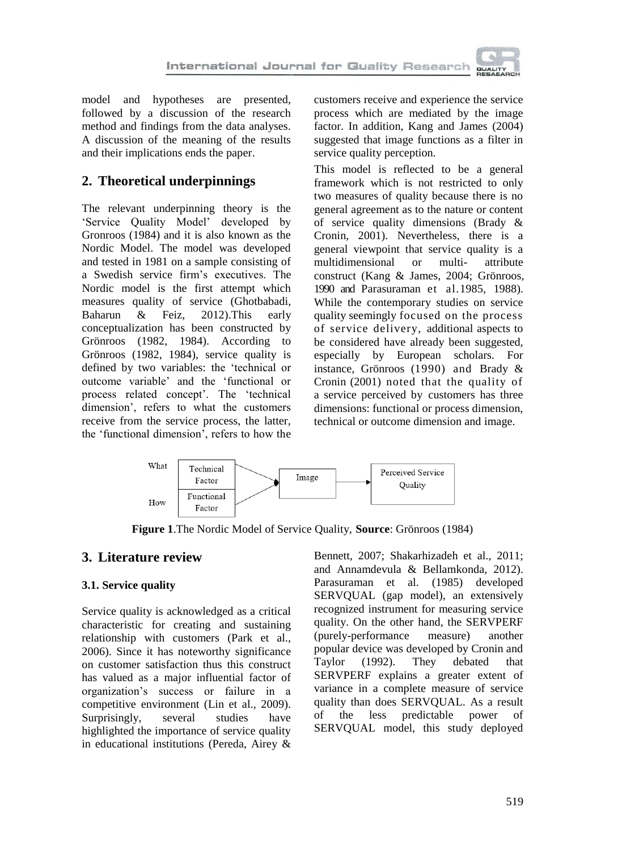

model and hypotheses are presented, followed by a discussion of the research method and findings from the data analyses. A discussion of the meaning of the results and their implications ends the paper.

# **2. Theoretical underpinnings**

The relevant underpinning theory is the 'Service Quality Model' developed by Gronroos (1984) and it is also known as the Nordic Model. The model was developed and tested in 1981 on a sample consisting of a Swedish service firm's executives. The Nordic model is the first attempt which measures quality of service (Ghotbabadi, Baharun & Feiz, 2012).This early conceptualization has been constructed by Grönroos (1982, 1984). According to Grönroos (1982, 1984), service quality is defined by two variables: the 'technical or outcome variable' and the 'functional or process related concept'. The 'technical dimension', refers to what the customers receive from the service process, the latter, the 'functional dimension', refers to how the

customers receive and experience the service process which are mediated by the image factor. In addition, Kang and James (2004) suggested that image functions as a filter in service quality perception.

This model is reflected to be a general framework which is not restricted to only two measures of quality because there is no general agreement as to the nature or content of service quality dimensions (Brady & Cronin, 2001). Nevertheless, there is a general viewpoint that service quality is a multidimensional or multi- attribute construct (Kang & James, 2004; Grönroos, 1990 and Parasuraman et al.1985, 1988). While the contemporary studies on service quality seemingly focused on the process of service delivery, additional aspects to be considered have already been suggested, especially by European scholars. For instance, Grönroos (1990) and Brady & Cronin (2001) noted that the quality of a service perceived by customers has three dimensions: functional or process dimension, technical or outcome dimension and image.



**Figure 1**.The Nordic Model of Service Quality, **Source**: Grönroos (1984)

# **3. Literature review**

# **3.1. Service quality**

Service quality is acknowledged as a critical characteristic for creating and sustaining relationship with customers (Park et al., 2006). Since it has noteworthy significance on customer satisfaction thus this construct has valued as a major influential factor of organization's success or failure in a competitive environment (Lin et al., 2009). Surprisingly, several studies have highlighted the importance of service quality in educational institutions (Pereda, Airey &

Bennett, 2007; Shakarhizadeh et al., 2011; and Annamdevula & Bellamkonda, 2012). Parasuraman et al. (1985) developed SERVQUAL (gap model), an extensively recognized instrument for measuring service quality. On the other hand, the SERVPERF (purely-performance measure) another popular device was developed by Cronin and Taylor (1992). They debated that SERVPERF explains a greater extent of variance in a complete measure of service quality than does SERVQUAL. As a result of the less predictable power of SERVQUAL model, this study deployed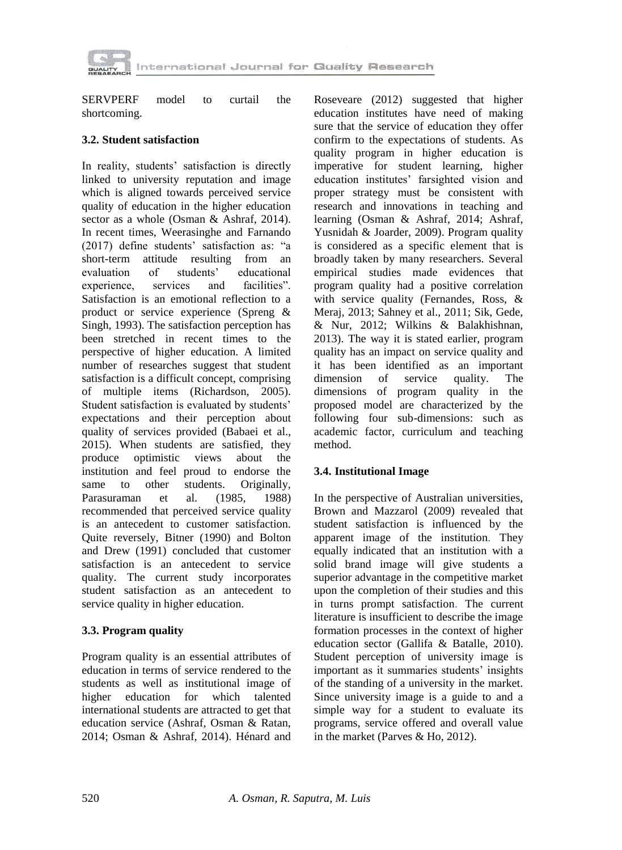

SERVPERF model to curtail the shortcoming.

## **3.2. Student satisfaction**

In reality, students' satisfaction is directly linked to university reputation and image which is aligned towards perceived service quality of education in the higher education sector as a whole (Osman & Ashraf, 2014). In recent times, Weerasinghe and Farnando (2017) define students' satisfaction as: "a short-term attitude resulting from an evaluation of students' educational evaluation of students' educational experience, services and facilities". Satisfaction is an emotional reflection to a product or service experience (Spreng & Singh, 1993). The satisfaction perception has been stretched in recent times to the perspective of higher education. A limited number of researches suggest that student satisfaction is a difficult concept, comprising of multiple items (Richardson, 2005). Student satisfaction is evaluated by students' expectations and their perception about quality of services provided (Babaei et al., 2015). When students are satisfied, they produce optimistic views about the institution and feel proud to endorse the same to other students. Originally, Parasuraman et al. (1985, 1988) recommended that perceived service quality is an antecedent to customer satisfaction. Quite reversely, Bitner (1990) and Bolton and Drew (1991) concluded that customer satisfaction is an antecedent to service quality. The current study incorporates student satisfaction as an antecedent to service quality in higher education.

# **3.3. Program quality**

Program quality is an essential attributes of education in terms of service rendered to the students as well as institutional image of higher education for which talented international students are attracted to get that education service (Ashraf, Osman & Ratan, 2014; Osman & Ashraf, 2014). Hénard and

Roseveare (2012) suggested that higher education institutes have need of making sure that the service of education they offer confirm to the expectations of students. As quality program in higher education is imperative for student learning, higher education institutes' farsighted vision and proper strategy must be consistent with research and innovations in teaching and learning (Osman & Ashraf, 2014; Ashraf, Yusnidah & Joarder, 2009). Program quality is considered as a specific element that is broadly taken by many researchers. Several empirical studies made evidences that program quality had a positive correlation with service quality (Fernandes, Ross, & Meraj, 2013; Sahney et al., 2011; Sik, Gede, & Nur, 2012; Wilkins & Balakhishnan, 2013). The way it is stated earlier, program quality has an impact on service quality and it has been identified as an important dimension of service quality. The dimensions of program quality in the proposed model are characterized by the following four sub-dimensions: such as academic factor, curriculum and teaching method.

# **3.4. Institutional Image**

In the perspective of Australian universities, Brown and Mazzarol (2009) revealed that student satisfaction is influenced by the apparent image of the institution. They equally indicated that an institution with a solid brand image will give students a superior advantage in the competitive market upon the completion of their studies and this in turns prompt satisfaction. The current literature is insufficient to describe the image formation processes in the context of higher education sector (Gallifa & Batalle, 2010). Student perception of university image is important as it summaries students' insights of the standing of a university in the market. Since university image is a guide to and a simple way for a student to evaluate its programs, service offered and overall value in the market (Parves & Ho, 2012).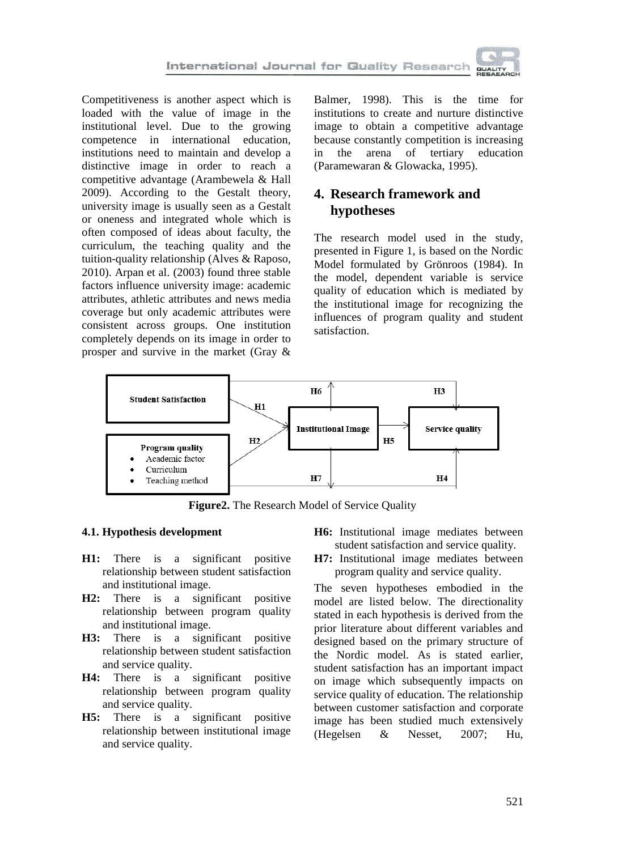

Competitiveness is another aspect which is loaded with the value of image in the institutional level. Due to the growing competence in international education, institutions need to maintain and develop a distinctive image in order to reach a competitive advantage (Arambewela & Hall 2009). According to the Gestalt theory, university image is usually seen as a Gestalt or oneness and integrated whole which is often composed of ideas about faculty, the curriculum, the teaching quality and the tuition-quality relationship (Alves & Raposo, 2010). Arpan et al. (2003) found three stable factors influence university image: academic attributes, athletic attributes and news media coverage but only academic attributes were consistent across groups. One institution completely depends on its image in order to prosper and survive in the market (Gray &

Balmer, 1998). This is the time for institutions to create and nurture distinctive image to obtain a competitive advantage because constantly competition is increasing in the arena of tertiary education (Paramewaran & Glowacka, 1995).

# **4. Research framework and hypotheses**

The research model used in the study, presented in Figure 1, is based on the Nordic Model formulated by Grönroos (1984). In the model, dependent variable is service quality of education which is mediated by the institutional image for recognizing the influences of program quality and student satisfaction.



**Figure2.** The Research Model of Service Quality

## **4.1. Hypothesis development**

- **H1:** There is a significant positive relationship between student satisfaction and institutional image.
- **H2:** There is a significant positive relationship between program quality and institutional image.
- **H3:** There is a significant positive relationship between student satisfaction and service quality.
- **H4:** There is a significant positive relationship between program quality and service quality.
- **H5:** There is a significant positive relationship between institutional image and service quality.
- **H6:** Institutional image mediates between student satisfaction and service quality.
- **H7:** Institutional image mediates between program quality and service quality.

The seven hypotheses embodied in the model are listed below. The directionality stated in each hypothesis is derived from the prior literature about different variables and designed based on the primary structure of the Nordic model. As is stated earlier, student satisfaction has an important impact on image which subsequently impacts on service quality of education. The relationship between customer satisfaction and corporate image has been studied much extensively (Hegelsen & Nesset, 2007; Hu,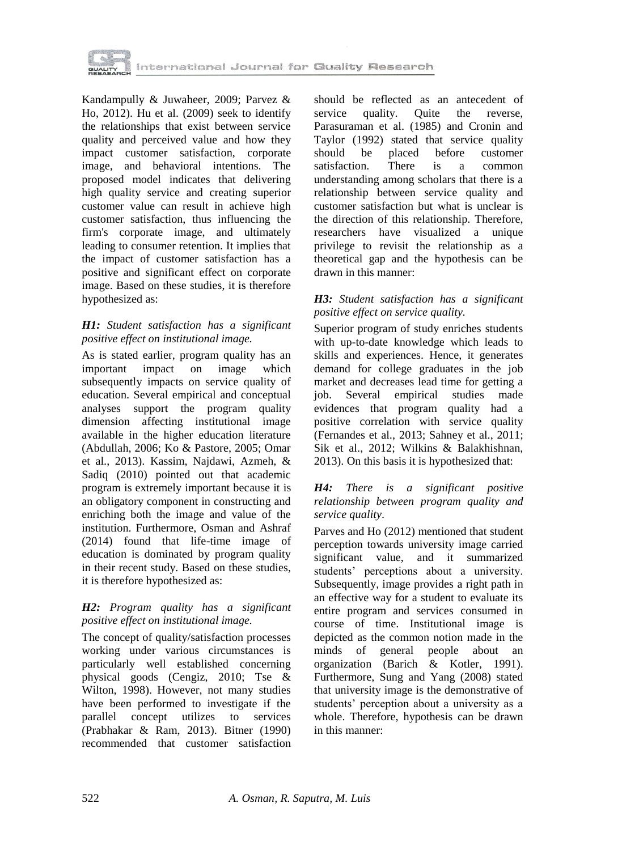

Kandampully & Juwaheer, 2009; Parvez & Ho, 2012). Hu et al. (2009) seek to identify the relationships that exist between service quality and perceived value and how they impact customer satisfaction, corporate image, and behavioral intentions. The proposed model indicates that delivering high quality service and creating superior customer value can result in achieve high customer satisfaction, thus influencing the firm's corporate image, and ultimately leading to consumer retention. It implies that the impact of customer satisfaction has a positive and significant effect on corporate image. Based on these studies, it is therefore hypothesized as:

## *H1: Student satisfaction has a significant positive effect on institutional image.*

As is stated earlier, program quality has an important impact on image which subsequently impacts on service quality of education. Several empirical and conceptual analyses support the program quality dimension affecting institutional image available in the higher education literature (Abdullah, 2006; Ko & Pastore, 2005; Omar et al., 2013). Kassim, Najdawi, Azmeh, & Sadiq (2010) pointed out that academic program is extremely important because it is an obligatory component in constructing and enriching both the image and value of the institution. Furthermore, Osman and Ashraf (2014) found that life-time image of education is dominated by program quality in their recent study. Based on these studies, it is therefore hypothesized as:

## *H2: Program quality has a significant positive effect on institutional image.*

The concept of quality/satisfaction processes working under various circumstances is particularly well established concerning physical goods (Cengiz, 2010; Tse & Wilton, 1998). However, not many studies have been performed to investigate if the parallel concept utilizes to services (Prabhakar & Ram, 2013). Bitner (1990) recommended that customer satisfaction

should be reflected as an antecedent of service quality. Ouite the reverse, Parasuraman et al. (1985) and Cronin and Taylor (1992) stated that service quality should be placed before customer satisfaction. There is a common understanding among scholars that there is a relationship between service quality and customer satisfaction but what is unclear is the direction of this relationship. Therefore, researchers have visualized a unique privilege to revisit the relationship as a theoretical gap and the hypothesis can be drawn in this manner:

## *H3: Student satisfaction has a significant positive effect on service quality.*

Superior program of study enriches students with up-to-date knowledge which leads to skills and experiences. Hence, it generates demand for college graduates in the job market and decreases lead time for getting a job. Several empirical studies made evidences that program quality had a positive correlation with service quality (Fernandes et al., 2013; Sahney et al., 2011; Sik et al., 2012; Wilkins & Balakhishnan, 2013). On this basis it is hypothesized that:

#### *H4: There is a significant positive relationship between program quality and service quality*.

Parves and Ho (2012) mentioned that student perception towards university image carried significant value, and it summarized students' perceptions about a university. Subsequently, image provides a right path in an effective way for a student to evaluate its entire program and services consumed in course of time. Institutional image is depicted as the common notion made in the minds of general people about an organization (Barich & Kotler, 1991). Furthermore, Sung and Yang (2008) stated that university image is the demonstrative of students' perception about a university as a whole. Therefore, hypothesis can be drawn in this manner: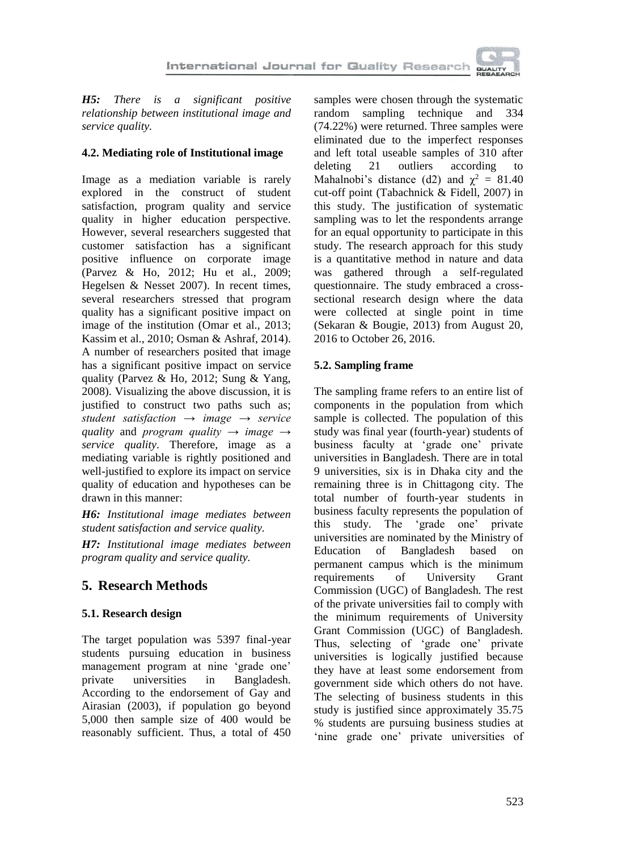

*H5: There is a significant positive relationship between institutional image and service quality.*

## **4.2. Mediating role of Institutional image**

Image as a mediation variable is rarely explored in the construct of student satisfaction, program quality and service quality in higher education perspective. However, several researchers suggested that customer satisfaction has a significant positive influence on corporate image (Parvez & Ho, 2012; Hu et al., 2009; Hegelsen & Nesset 2007). In recent times, several researchers stressed that program quality has a significant positive impact on image of the institution (Omar et al., 2013; Kassim et al., 2010; Osman & Ashraf, 2014). A number of researchers posited that image has a significant positive impact on service quality (Parvez & Ho, 2012; Sung & Yang, 2008). Visualizing the above discussion, it is justified to construct two paths such as; *student satisfaction → image → service quality* and *program quality → image → service quality*. Therefore, image as a mediating variable is rightly positioned and well-justified to explore its impact on service quality of education and hypotheses can be drawn in this manner:

*H6: Institutional image mediates between student satisfaction and service quality.*

*H7: Institutional image mediates between program quality and service quality.*

# **5. Research Methods**

# **5.1. Research design**

The target population was 5397 final-year students pursuing education in business management program at nine 'grade one' private universities in Bangladesh. According to the endorsement of Gay and Airasian (2003), if population go beyond 5,000 then sample size of 400 would be reasonably sufficient. Thus, a total of 450

samples were chosen through the systematic random sampling technique and 334 (74.22%) were returned. Three samples were eliminated due to the imperfect responses and left total useable samples of 310 after deleting 21 outliers according to Mahalnobi's distance (d2) and  $\chi^2 = 81.40$ cut-off point (Tabachnick & Fidell, 2007) in this study. The justification of systematic sampling was to let the respondents arrange for an equal opportunity to participate in this study. The research approach for this study is a quantitative method in nature and data was gathered through a self-regulated questionnaire. The study embraced a crosssectional research design where the data were collected at single point in time (Sekaran & Bougie, 2013) from August 20, 2016 to October 26, 2016.

# **5.2. Sampling frame**

The sampling frame refers to an entire list of components in the population from which sample is collected. The population of this study was final year (fourth-year) students of business faculty at 'grade one' private universities in Bangladesh. There are in total 9 universities, six is in Dhaka city and the remaining three is in Chittagong city. The total number of fourth-year students in business faculty represents the population of this study. The 'grade one' private universities are nominated by the Ministry of Education of Bangladesh based on permanent campus which is the minimum requirements of University Grant Commission (UGC) of Bangladesh. The rest of the private universities fail to comply with the minimum requirements of University Grant Commission (UGC) of Bangladesh. Thus, selecting of 'grade one' private universities is logically justified because they have at least some endorsement from government side which others do not have. The selecting of business students in this study is justified since approximately 35.75 % students are pursuing business studies at 'nine grade one' private universities of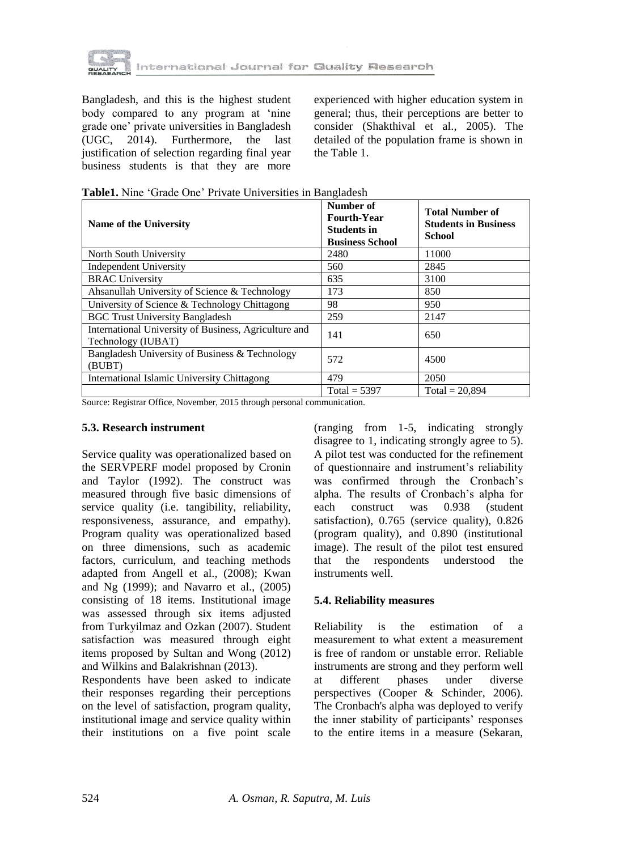

Bangladesh, and this is the highest student body compared to any program at 'nine grade one' private universities in Bangladesh (UGC, 2014). Furthermore, the last justification of selection regarding final year business students is that they are more

experienced with higher education system in general; thus, their perceptions are better to consider (Shakthival et al., 2005). The detailed of the population frame is shown in the Table 1.

| Name of the University                                                      | Number of<br><b>Fourth-Year</b><br><b>Students in</b><br><b>Business School</b> | <b>Total Number of</b><br><b>Students in Business</b><br><b>School</b> |  |
|-----------------------------------------------------------------------------|---------------------------------------------------------------------------------|------------------------------------------------------------------------|--|
| North South University                                                      | 2480                                                                            | 11000                                                                  |  |
| <b>Independent University</b>                                               | 560                                                                             | 2845                                                                   |  |
| <b>BRAC University</b>                                                      | 635                                                                             | 3100                                                                   |  |
| Ahsanullah University of Science & Technology                               | 173                                                                             | 850                                                                    |  |
| University of Science & Technology Chittagong                               | 98                                                                              | 950                                                                    |  |
| <b>BGC Trust University Bangladesh</b>                                      | 259                                                                             | 2147                                                                   |  |
| International University of Business, Agriculture and<br>Technology (IUBAT) | 141                                                                             | 650                                                                    |  |
| Bangladesh University of Business & Technology<br>(BUBT)                    | 572                                                                             | 4500                                                                   |  |
| International Islamic University Chittagong                                 | 479                                                                             | 2050                                                                   |  |
|                                                                             | $Total = 5397$                                                                  | Total = $20,894$                                                       |  |

|  |  |  |  | Table1. Nine 'Grade One' Private Universities in Bangladesh |
|--|--|--|--|-------------------------------------------------------------|
|--|--|--|--|-------------------------------------------------------------|

Source: Registrar Office, November, 2015 through personal communication.

#### **5.3. Research instrument**

Service quality was operationalized based on the SERVPERF model proposed by Cronin and Taylor (1992). The construct was measured through five basic dimensions of service quality (i.e. tangibility, reliability, responsiveness, assurance, and empathy). Program quality was operationalized based on three dimensions, such as academic factors, curriculum, and teaching methods adapted from Angell et al., (2008); Kwan and Ng (1999); and Navarro et al., (2005) consisting of 18 items. Institutional image was assessed through six items adjusted from Turkyilmaz and Ozkan (2007). Student satisfaction was measured through eight items proposed by Sultan and Wong (2012) and Wilkins and Balakrishnan (2013).

Respondents have been asked to indicate their responses regarding their perceptions on the level of satisfaction, program quality, institutional image and service quality within their institutions on a five point scale

(ranging from 1-5, indicating strongly disagree to 1, indicating strongly agree to 5). A pilot test was conducted for the refinement of questionnaire and instrument's reliability was confirmed through the Cronbach's alpha. The results of Cronbach's alpha for each construct was 0.938 (student satisfaction), 0.765 (service quality), 0.826 (program quality), and 0.890 (institutional image). The result of the pilot test ensured that the respondents understood the instruments well.

#### **5.4. Reliability measures**

Reliability is the estimation of a measurement to what extent a measurement is free of random or unstable error. Reliable instruments are strong and they perform well at different phases under diverse perspectives (Cooper & Schinder, 2006). The Cronbach's alpha was deployed to verify the inner stability of participants' responses to the entire items in a measure (Sekaran,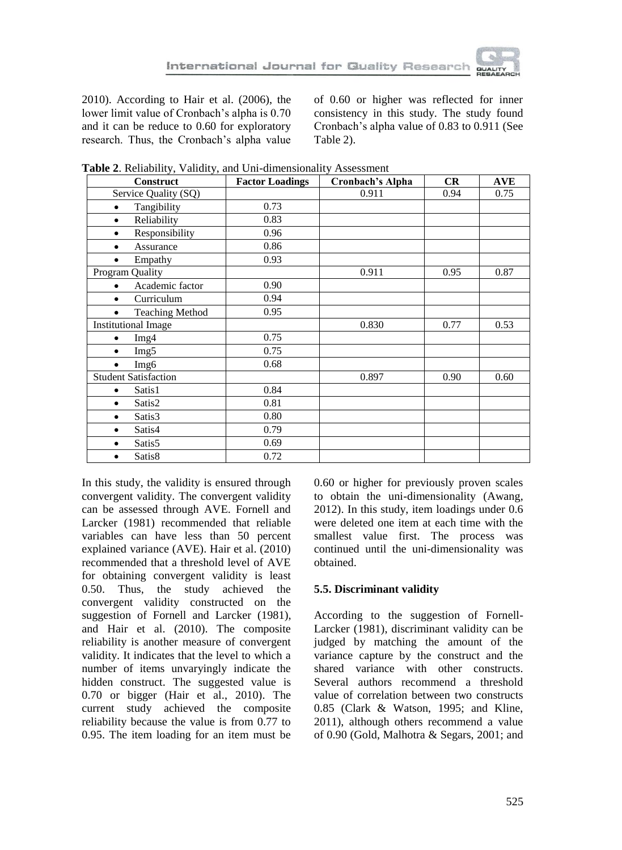

2010). According to Hair et al. (2006), the lower limit value of Cronbach's alpha is 0.70 and it can be reduce to 0.60 for exploratory research. Thus, the Cronbach's alpha value of 0.60 or higher was reflected for inner consistency in this study. The study found Cronbach's alpha value of 0.83 to 0.911 (See Table 2).

| Construct                           | <b>Factor Loadings</b> | Cronbach's Alpha | CR   | <b>AVE</b> |
|-------------------------------------|------------------------|------------------|------|------------|
| Service Quality (SQ)                |                        | 0.911            | 0.94 | 0.75       |
| Tangibility<br>٠                    | 0.73                   |                  |      |            |
| Reliability<br>$\bullet$            | 0.83                   |                  |      |            |
| Responsibility                      | 0.96                   |                  |      |            |
| Assurance                           | 0.86                   |                  |      |            |
| Empathy                             | 0.93                   |                  |      |            |
| <b>Program Quality</b>              |                        | 0.911            | 0.95 | 0.87       |
| Academic factor                     | 0.90                   |                  |      |            |
| Curriculum                          | 0.94                   |                  |      |            |
| <b>Teaching Method</b><br>$\bullet$ | 0.95                   |                  |      |            |
| <b>Institutional Image</b>          |                        | 0.830            | 0.77 | 0.53       |
| Img4<br>$\bullet$                   | 0.75                   |                  |      |            |
| Img5<br>٠                           | 0.75                   |                  |      |            |
| Img6                                | 0.68                   |                  |      |            |
| <b>Student Satisfaction</b>         |                        | 0.897            | 0.90 | 0.60       |
| Satis1                              | 0.84                   |                  |      |            |
| Satis2<br>٠                         | 0.81                   |                  |      |            |
| Satis3<br>٠                         | 0.80                   |                  |      |            |
| Satis4<br>٠                         | 0.79                   |                  |      |            |
| Satis5<br>٠                         | 0.69                   |                  |      |            |
| Satis8<br>٠                         | 0.72                   |                  |      |            |

**Table 2**. Reliability, Validity, and Uni-dimensionality Assessment

In this study, the validity is ensured through convergent validity. The convergent validity can be assessed through AVE. Fornell and Larcker (1981) recommended that reliable variables can have less than 50 percent explained variance (AVE). Hair et al. (2010) recommended that a threshold level of AVE for obtaining convergent validity is least 0.50. Thus, the study achieved the convergent validity constructed on the suggestion of Fornell and Larcker (1981), and Hair et al. (2010). The composite reliability is another measure of convergent validity. It indicates that the level to which a number of items unvaryingly indicate the hidden construct. The suggested value is 0.70 or bigger (Hair et al., 2010). The current study achieved the composite reliability because the value is from 0.77 to 0.95. The item loading for an item must be

0.60 or higher for previously proven scales to obtain the uni-dimensionality (Awang, 2012). In this study, item loadings under 0.6 were deleted one item at each time with the smallest value first. The process was continued until the uni-dimensionality was obtained.

## **5.5. Discriminant validity**

According to the suggestion of Fornell-Larcker (1981), discriminant validity can be judged by matching the amount of the variance capture by the construct and the shared variance with other constructs. Several authors recommend a threshold value of correlation between two constructs 0.85 (Clark & Watson, 1995; and Kline, 2011), although others recommend a value of 0.90 (Gold, Malhotra & Segars, 2001; and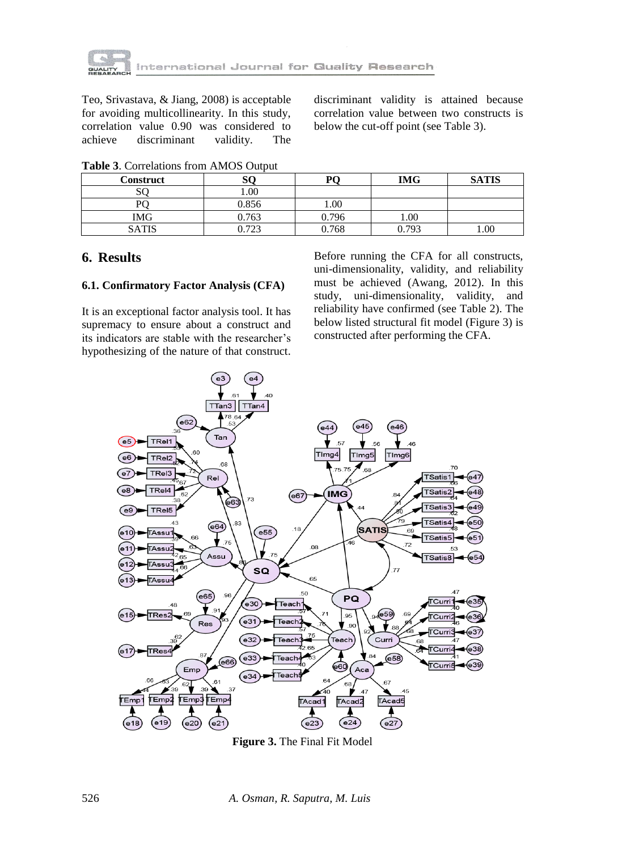

Teo, Srivastava, & Jiang, 2008) is acceptable for avoiding multicollinearity. In this study, correlation value 0.90 was considered to achieve discriminant validity. The

discriminant validity is attained because correlation value between two constructs is below the cut-off point (see Table 3).

| <b>Construct</b> | SC    | DГ    | <b>IMG</b> | <b>SATIS</b> |
|------------------|-------|-------|------------|--------------|
| SO               | 00.1  |       |            |              |
| D٢               | 0.856 | 1.00  |            |              |
| IMG              | 0.763 | 0.796 | 1.00       |              |
| <b>SATIS</b>     | 0.723 | 0.768 | 0.793      | 1.00         |

**Table 3**. Correlations from AMOS Output

# **6. Results**

#### **6.1. Confirmatory Factor Analysis (CFA)**

It is an exceptional factor analysis tool. It has supremacy to ensure about a construct and its indicators are stable with the researcher's hypothesizing of the nature of that construct.

Before running the CFA for all constructs, uni-dimensionality, validity, and reliability must be achieved (Awang, 2012). In this study, uni-dimensionality, validity, and reliability have confirmed (see Table 2). The below listed structural fit model (Figure 3) is constructed after performing the CFA.



**Figure 3.** The Final Fit Model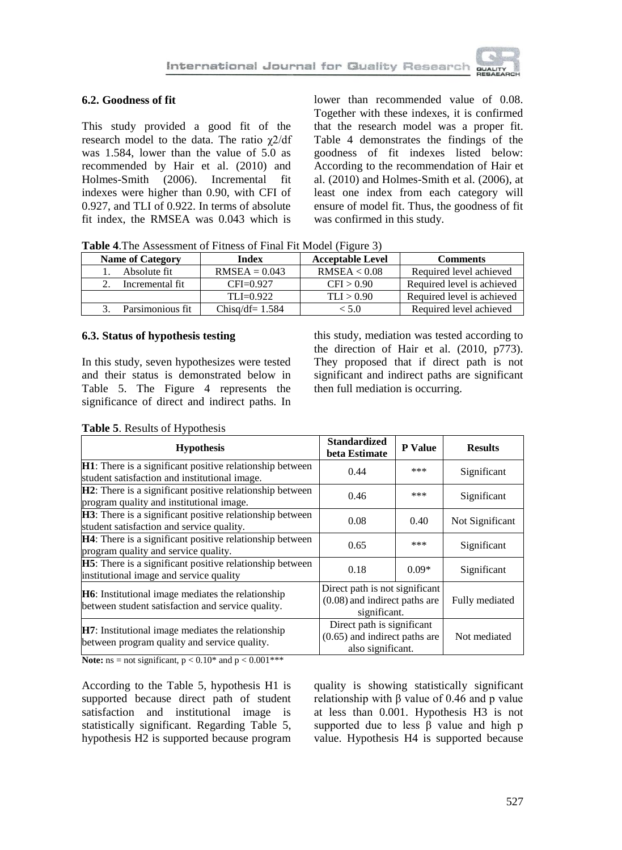

## **6.2. Goodness of fit**

This study provided a good fit of the research model to the data. The ratio χ2/df was 1.584, lower than the value of 5.0 as recommended by Hair et al. (2010) and Holmes-Smith (2006). Incremental fit indexes were higher than 0.90, with CFI of 0.927, and TLI of 0.922. In terms of absolute fit index, the RMSEA was 0.043 which is

lower than recommended value of 0.08. Together with these indexes, it is confirmed that the research model was a proper fit. Table 4 demonstrates the findings of the goodness of fit indexes listed below: According to the recommendation of Hair et al. (2010) and Holmes-Smith et al. (2006), at least one index from each category will ensure of model fit. Thus, the goodness of fit was confirmed in this study.

**Table 4**.The Assessment of Fitness of Final Fit Model (Figure 3)

| <b>Name of Category</b> | Index             | <b>Acceptable Level</b> | <b>Comments</b>            |
|-------------------------|-------------------|-------------------------|----------------------------|
| Absolute fit            | $RMSEA = 0.043$   | RMSEA < 0.08            | Required level achieved    |
| Incremental fit         | $CFI=0.927$       | CFI > 0.90              | Required level is achieved |
|                         | $TLI = 0.922$     | TLI > 0.90              | Required level is achieved |
| Parsimonious fit        | Chisq/df= $1.584$ | ${<}5.0$                | Required level achieved    |

#### **6.3. Status of hypothesis testing**

In this study, seven hypothesizes were tested and their status is demonstrated below in Table 5. The Figure 4 represents the significance of direct and indirect paths. In this study, mediation was tested according to the direction of Hair et al. (2010, p773). They proposed that if direct path is not significant and indirect paths are significant then full mediation is occurring.

| <b>Hypothesis</b>                                                                                              | <b>Standardized</b><br>beta Estimate                                               | <b>P</b> Value | <b>Results</b>  |
|----------------------------------------------------------------------------------------------------------------|------------------------------------------------------------------------------------|----------------|-----------------|
| H1: There is a significant positive relationship between<br>student satisfaction and institutional image.      | 0.44                                                                               | ***            | Significant     |
| <b>H2</b> : There is a significant positive relationship between<br>program quality and institutional image.   | 0.46                                                                               | ***            | Significant     |
| <b>H3</b> : There is a significant positive relationship between<br>student satisfaction and service quality.  | 0.08                                                                               | 0.40           | Not Significant |
| <b>H4</b> : There is a significant positive relationship between<br>program quality and service quality.       | 0.65                                                                               | ***            | Significant     |
| H5: There is a significant positive relationship between<br>institutional image and service quality            | 0.18                                                                               | $0.09*$        | Significant     |
| <b>H6</b> : Institutional image mediates the relationship<br>between student satisfaction and service quality. | Direct path is not significant<br>$(0.08)$ and indirect paths are<br>significant.  |                | Fully mediated  |
| <b>H7</b> : Institutional image mediates the relationship<br>between program quality and service quality.      | Direct path is significant<br>$(0.65)$ and indirect paths are<br>also significant. |                | Not mediated    |

#### **Table 5**. Results of Hypothesis

**Note:**  $ns = not significant, p < 0.10^*$  and  $p < 0.001^{***}$ 

According to the Table 5, hypothesis H1 is supported because direct path of student satisfaction and institutional image is statistically significant. Regarding Table 5, hypothesis H2 is supported because program

quality is showing statistically significant relationship with β value of 0.46 and p value at less than 0.001. Hypothesis H3 is not supported due to less β value and high p value. Hypothesis H4 is supported because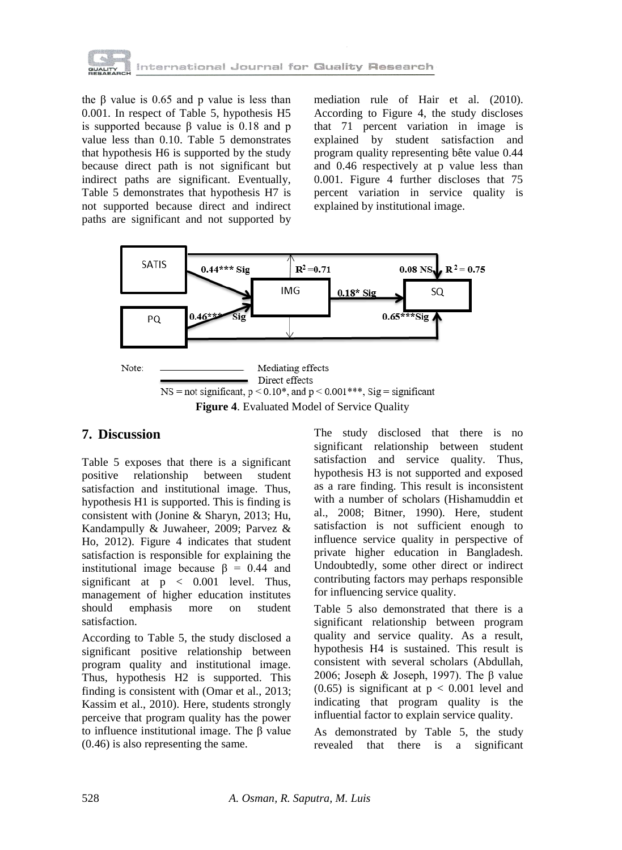

the β value is  $0.65$  and p value is less than 0.001. In respect of Table 5, hypothesis H5 is supported because β value is 0.18 and p value less than 0.10. Table 5 demonstrates that hypothesis H6 is supported by the study because direct path is not significant but indirect paths are significant. Eventually, Table 5 demonstrates that hypothesis H7 is not supported because direct and indirect paths are significant and not supported by

mediation rule of Hair et al. (2010). According to Figure 4, the study discloses that 71 percent variation in image is explained by student satisfaction and program quality representing bête value 0.44 and 0.46 respectively at p value less than 0.001. Figure 4 further discloses that 75 percent variation in service quality is explained by institutional image.



# **7. Discussion**

Table 5 exposes that there is a significant positive relationship between student satisfaction and institutional image. Thus, hypothesis H1 is supported. This is finding is consistent with (Jonine & Sharyn, 2013; Hu, Kandampully & Juwaheer, 2009; Parvez & Ho, 2012). Figure 4 indicates that student satisfaction is responsible for explaining the institutional image because  $β = 0.44$  and significant at p < 0.001 level. Thus, management of higher education institutes should emphasis more on student satisfaction.

According to Table 5, the study disclosed a significant positive relationship between program quality and institutional image. Thus, hypothesis H2 is supported. This finding is consistent with (Omar et al., 2013; Kassim et al., 2010). Here, students strongly perceive that program quality has the power to influence institutional image. The β value (0.46) is also representing the same.

The study disclosed that there is no significant relationship between student satisfaction and service quality. Thus, hypothesis H3 is not supported and exposed as a rare finding. This result is inconsistent with a number of scholars (Hishamuddin et al., 2008; Bitner, 1990). Here, student satisfaction is not sufficient enough to influence service quality in perspective of private higher education in Bangladesh. Undoubtedly, some other direct or indirect contributing factors may perhaps responsible for influencing service quality.

Table 5 also demonstrated that there is a significant relationship between program quality and service quality. As a result, hypothesis H4 is sustained. This result is consistent with several scholars (Abdullah, 2006; Joseph & Joseph, 1997). The β value  $(0.65)$  is significant at  $p < 0.001$  level and indicating that program quality is the influential factor to explain service quality.

As demonstrated by Table 5, the study revealed that there is a significant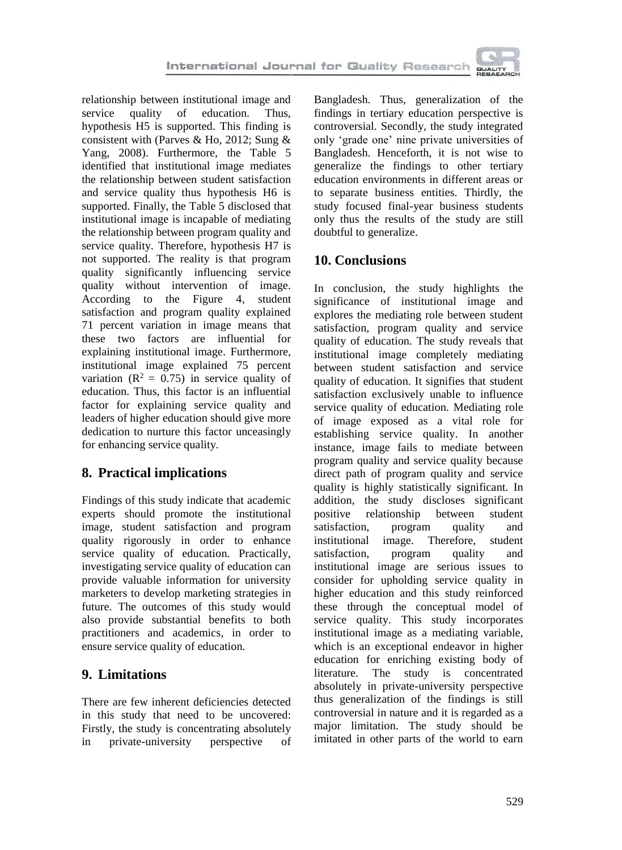

relationship between institutional image and service quality of education. Thus, hypothesis H5 is supported. This finding is consistent with (Parves & Ho, 2012; Sung & Yang, 2008). Furthermore, the Table 5 identified that institutional image mediates the relationship between student satisfaction and service quality thus hypothesis H6 is supported. Finally, the Table 5 disclosed that institutional image is incapable of mediating the relationship between program quality and service quality. Therefore, hypothesis H7 is not supported. The reality is that program quality significantly influencing service quality without intervention of image. According to the Figure 4, student satisfaction and program quality explained 71 percent variation in image means that these two factors are influential for explaining institutional image. Furthermore, institutional image explained 75 percent variation ( $R^2 = 0.75$ ) in service quality of education. Thus, this factor is an influential factor for explaining service quality and leaders of higher education should give more dedication to nurture this factor unceasingly for enhancing service quality.

# **8. Practical implications**

Findings of this study indicate that academic experts should promote the institutional image, student satisfaction and program quality rigorously in order to enhance service quality of education. Practically, investigating service quality of education can provide valuable information for university marketers to develop marketing strategies in future. The outcomes of this study would also provide substantial benefits to both practitioners and academics, in order to ensure service quality of education.

# **9. Limitations**

There are few inherent deficiencies detected in this study that need to be uncovered: Firstly, the study is concentrating absolutely in private-university perspective of

Bangladesh. Thus, generalization of the findings in tertiary education perspective is controversial. Secondly, the study integrated only 'grade one' nine private universities of Bangladesh. Henceforth, it is not wise to generalize the findings to other tertiary education environments in different areas or to separate business entities. Thirdly, the study focused final-year business students only thus the results of the study are still doubtful to generalize.

# **10. Conclusions**

In conclusion, the study highlights the significance of institutional image and explores the mediating role between student satisfaction, program quality and service quality of education. The study reveals that institutional image completely mediating between student satisfaction and service quality of education. It signifies that student satisfaction exclusively unable to influence service quality of education. Mediating role of image exposed as a vital role for establishing service quality. In another instance, image fails to mediate between program quality and service quality because direct path of program quality and service quality is highly statistically significant. In addition, the study discloses significant positive relationship between student satisfaction, program quality and institutional image. Therefore, student satisfaction, program quality and institutional image are serious issues to consider for upholding service quality in higher education and this study reinforced these through the conceptual model of service quality. This study incorporates institutional image as a mediating variable, which is an exceptional endeavor in higher education for enriching existing body of literature. The study is concentrated absolutely in private-university perspective thus generalization of the findings is still controversial in nature and it is regarded as a major limitation. The study should be imitated in other parts of the world to earn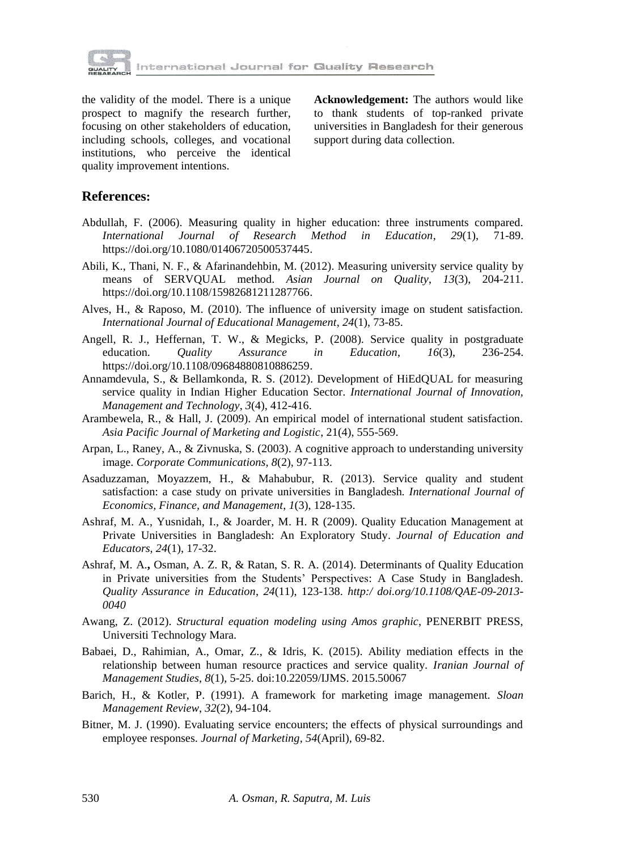

the validity of the model. There is a unique prospect to magnify the research further, focusing on other stakeholders of education, including schools, colleges, and vocational institutions, who perceive the identical quality improvement intentions.

**Acknowledgement:** The authors would like to thank students of top-ranked private universities in Bangladesh for their generous support during data collection.

## **References:**

- Abdullah, F. (2006). Measuring quality in higher education: three instruments compared. *International Journal of Research Method in Education*, *29*(1), 71-89. https://doi.org/10.1080/01406720500537445.
- Abili, K., Thani, N. F., & Afarinandehbin, M. (2012). Measuring university service quality by means of SERVQUAL method. *Asian Journal on Quality*, *13*(3), 204-211. https://doi.org/10.1108/15982681211287766.
- Alves, H., & Raposo, M. (2010). The influence of university image on student satisfaction. *International Journal of Educational Management*, *24*(1), 73-85.
- Angell, R. J., Heffernan, T. W., & Megicks, P. (2008). Service quality in postgraduate education. *Quality Assurance in Education*, *16*(3), 236-254. https://doi.org/10.1108/09684880810886259.
- Annamdevula, S., & Bellamkonda, R. S. (2012). Development of HiEdQUAL for measuring service quality in Indian Higher Education Sector. *International Journal of Innovation, Management and Technology*, *3*(4), 412-416.
- Arambewela, R., & Hall, J. (2009). An empirical model of international student satisfaction. *Asia Pacific Journal of Marketing and Logistic*, 21(4), 555-569.
- Arpan, L., Raney, A., & Zivnuska, S. (2003). A cognitive approach to understanding university image. *Corporate Communications*, *8*(2), 97-113.
- Asaduzzaman, Moyazzem, H., & Mahabubur, R. (2013). Service quality and student satisfaction: a case study on private universities in Bangladesh. *International Journal of Economics, Finance, and Management*, *1*(3), 128-135.
- Ashraf, M. A., Yusnidah, I., & Joarder, M. H. R (2009). Quality Education Management at Private Universities in Bangladesh: An Exploratory Study. *Journal of Education and Educators*, *24*(1), 17-32.
- Ashraf, M. A.**,** Osman, A. Z. R, & Ratan, S. R. A. (2014). Determinants of Quality Education in Private universities from the Students' Perspectives: A Case Study in Bangladesh. *Quality Assurance in Education*, *24*(11), 123-138. *http:/ doi.org/10.1108/QAE-09-2013- 0040*
- Awang, Z. (2012). *Structural equation modeling using Amos graphic*, PENERBIT PRESS, Universiti Technology Mara.
- Babaei, D., Rahimian, A., Omar, Z., & Idris, K. (2015). Ability mediation effects in the relationship between human resource practices and service quality. *Iranian Journal of Management Studies*, *8*(1), 5-25. doi:10.22059/IJMS. 2015.50067
- Barich, H., & Kotler, P. (1991). A framework for marketing image management. *Sloan Management Review*, *32*(2), 94-104.
- Bitner, M. J. (1990). Evaluating service encounters; the effects of physical surroundings and employee responses. *Journal of Marketing*, *54*(April), 69-82.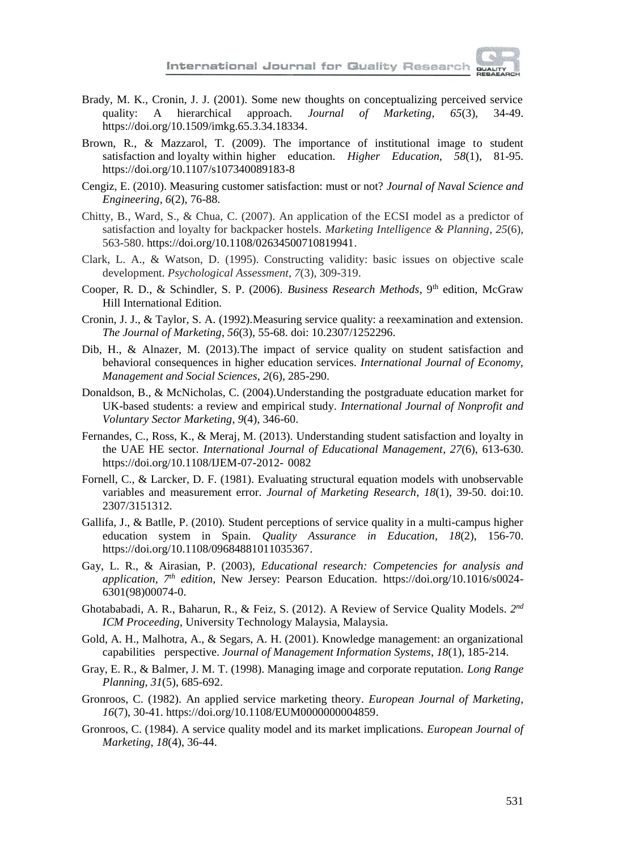

- Brady, M. K., Cronin, J. J. (2001). Some new thoughts on conceptualizing perceived service quality: A hierarchical approach. *Journal of Marketing*, *65*(3), 34-49. https://doi.org/10.1509/imkg.65.3.34.18334.
- Brown, R., & Mazzarol, T. (2009). The importance of institutional image to student satisfaction and loyalty within higher education. *Higher Education*, *58*(1), 81-95. https://doi.org/10.1107/s107340089183-8
- Cengiz, E. (2010). Measuring customer satisfaction: must or not? *Journal of Naval Science and Engineering*, *6*(2), 76-88.
- Chitty, B., Ward, S., & Chua, C. (2007). An application of the ECSI model as a predictor of satisfaction and loyalty for backpacker hostels. *Marketing Intelligence & Planning*, *25*(6), 563-580. https://doi.org/10.1108/02634500710819941.
- Clark, L. A., & Watson, D. (1995). Constructing validity: basic issues on objective scale development. *Psychological Assessment*, *7*(3), 309-319.
- Cooper, R. D., & Schindler, S. P. (2006). *Business Research Methods*, 9<sup>th</sup> edition, McGraw Hill International Edition.
- Cronin, J. J., & Taylor, S. A. (1992).Measuring service quality: a reexamination and extension. *The Journal of Marketing*, *56*(3), 55-68. doi: 10.2307/1252296.
- Dib, H., & Alnazer, M. (2013).The impact of service quality on student satisfaction and behavioral consequences in higher education services. *International Journal of Economy, Management and Social Sciences*, *2*(6), 285-290.
- Donaldson, B., & McNicholas, C. (2004).Understanding the postgraduate education market for UK-based students: a review and empirical study. *International Journal of Nonprofit and Voluntary Sector Marketing*, *9*(4), 346-60.
- Fernandes, C., Ross, K., & Meraj, M. (2013). Understanding student satisfaction and loyalty in the UAE HE sector. *International Journal of Educational Management*, *27*(6), 613-630. https://doi.org/10.1108/IJEM-07-2012- 0082
- Fornell, C., & Larcker, D. F. (1981). Evaluating structural equation models with unobservable variables and measurement error. *Journal of Marketing Research*, *18*(1), 39-50. doi:10. 2307/3151312.
- Gallifa, J., & Batlle, P. (2010). Student perceptions of service quality in a multi-campus higher education system in Spain. *Quality Assurance in Education*, *18*(2), 156-70. https://doi.org/10.1108/09684881011035367.
- Gay, L. R., & Airasian, P. (2003), *Educational research: Competencies for analysis and application, 7 th edition,* New Jersey: Pearson Education. https://doi.org/10.1016/s0024- 6301(98)00074-0.
- Ghotababadi, A. R., Baharun, R., & Feiz, S. (2012). A Review of Service Quality Models. 2<sup>nd</sup> *ICM Proceeding*, University Technology Malaysia, Malaysia.
- Gold, A. H., Malhotra, A., & Segars, A. H. (2001). Knowledge management: an organizational capabilities perspective. *Journal of Management Information Systems*, *18*(1), 185-214.
- Gray, E. R., & Balmer, J. M. T. (1998). Managing image and corporate reputation. *Long Range Planning*, *31*(5), 685-692.
- Gronroos, C. (1982). An applied service marketing theory. *European Journal of Marketing*, *16*(7), 30-41. https://doi.org/10.1108/EUM0000000004859.
- Gronroos, C. (1984). A service quality model and its market implications. *European Journal of Marketing*, *18*(4), 36-44.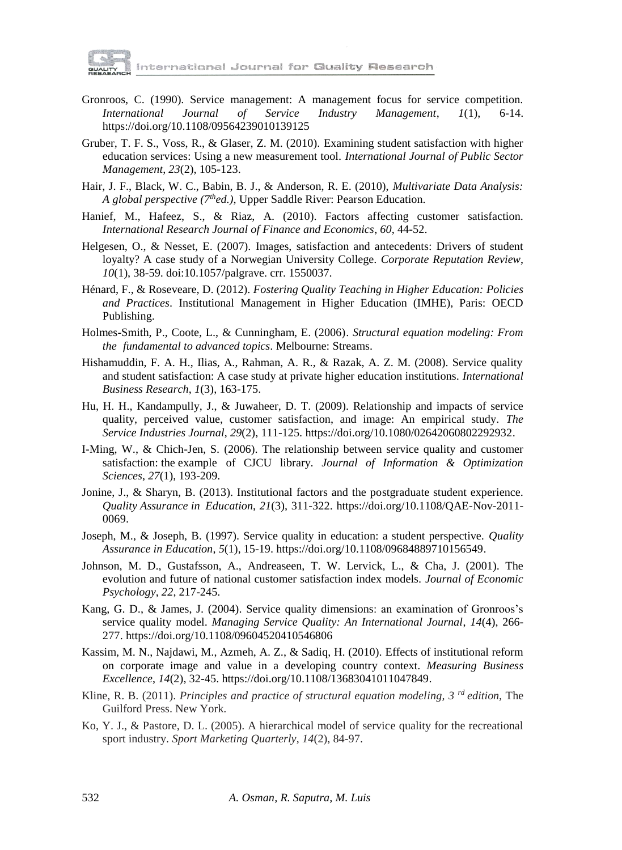

nternational Journal fo<mark>r Quality Research</mark>

- Gronroos, C. (1990). Service management: A management focus for service competition. *International Journal of Service Industry Management*, *1*(1), 6-14. https://doi.org/10.1108/09564239010139125
- Gruber, T. F. S., Voss, R., & Glaser, Z. M. (2010). Examining student satisfaction with higher education services: Using a new measurement tool. *International Journal of Public Sector Management*, *23*(2), 105-123.
- Hair, J. F., Black, W. C., Babin, B. J., & Anderson, R. E. (2010), *Multivariate Data Analysis: A global perspective (7thed.)*, Upper Saddle River: Pearson Education.
- Hanief, M., Hafeez, S., & Riaz, A. (2010). Factors affecting customer satisfaction. *International Research Journal of Finance and Economics*, *60*, 44-52.
- Helgesen, O., & Nesset, E. (2007). Images, satisfaction and antecedents: Drivers of student loyalty? A case study of a Norwegian University College. *Corporate Reputation Review*, *10*(1), 38-59. doi:10.1057/palgrave. crr. 1550037.
- Hénard, F., & Roseveare, D. (2012). *Fostering Quality Teaching in Higher Education: Policies and Practices*. Institutional Management in Higher Education (IMHE), Paris: OECD Publishing.
- Holmes-Smith, P., Coote, L., & Cunningham, E. (2006). *Structural equation modeling: From the fundamental to advanced topics*. Melbourne: Streams.
- Hishamuddin, F. A. H., Ilias, A., Rahman, A. R., & Razak, A. Z. M. (2008). Service quality and student satisfaction: A case study at private higher education institutions. *International Business Research*, *1*(3), 163-175.
- Hu, H. H., Kandampully, J., & Juwaheer, D. T. (2009). Relationship and impacts of service quality, perceived value, customer satisfaction, and image: An empirical study. *The Service Industries Journal*, *29*(2), 111-125. https://doi.org/10.1080/02642060802292932.
- I-Ming, W., & Chich-Jen, S. (2006). The relationship between service quality and customer satisfaction: the example of CJCU library. *Journal of Information & Optimization Sciences*, *27*(1), 193-209.
- Jonine, J., & Sharyn, B. (2013). Institutional factors and the postgraduate student experience. *Quality Assurance in Education*, *21*(3), 311-322. https://doi.org/10.1108/QAE-Nov-2011- 0069.
- Joseph, M., & Joseph, B. (1997). Service quality in education: a student perspective. *Quality Assurance in Education*, *5*(1), 15-19. https://doi.org/10.1108/09684889710156549.
- Johnson, M. D., Gustafsson, A., Andreaseen, T. W. Lervick, L., & Cha, J. (2001). The evolution and future of national customer satisfaction index models. *Journal of Economic Psychology*, *22*, 217-245.
- Kang, G. D., & James, J. (2004). Service quality dimensions: an examination of Gronroos's service quality model. *Managing Service Quality: An International Journal*, *14*(4), 266- 277. https://doi.org/10.1108/09604520410546806
- Kassim, M. N., Najdawi, M., Azmeh, A. Z., & Sadiq, H. (2010). Effects of institutional reform on corporate image and value in a developing country context. *Measuring Business Excellence*, *14*(2), 32-45. https://doi.org/10.1108/13683041011047849.
- Kline, R. B. (2011). *Principles and practice of structural equation modeling, 3 rd edition,* The Guilford Press. New York.
- Ko, Y. J., & Pastore, D. L. (2005). A hierarchical model of service quality for the recreational sport industry. *Sport Marketing Quarterly*, *14*(2), 84-97.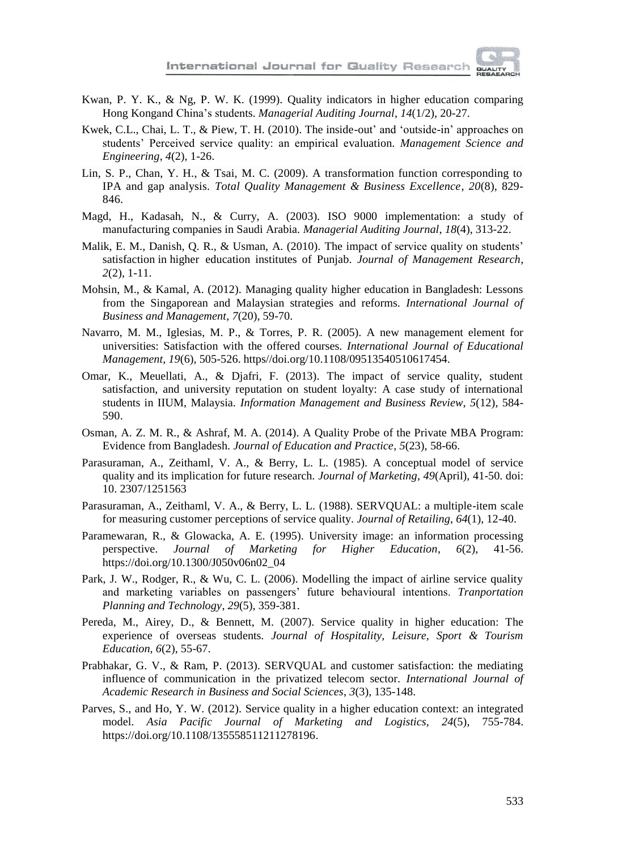

- Kwan, P. Y. K., & Ng, P. W. K. (1999). Quality indicators in higher education comparing Hong Kongand China's students. *Managerial Auditing Journal*, *14*(1/2), 20-27.
- Kwek, C.L., Chai, L. T., & Piew, T. H. (2010). The inside-out' and 'outside-in' approaches on students' Perceived service quality: an empirical evaluation. *Management Science and Engineering*, *4*(2), 1-26.
- Lin, S. P., Chan, Y. H., & Tsai, M. C. (2009). A transformation function corresponding to IPA and gap analysis. *Total Quality Management & Business Excellence*, *20*(8), 829- 846.
- Magd, H., Kadasah, N., & Curry, A. (2003). ISO 9000 implementation: a study of manufacturing companies in Saudi Arabia. *Managerial Auditing Journal*, *18*(4), 313-22.
- Malik, E. M., Danish, Q. R., & Usman, A. (2010). The impact of service quality on students' satisfaction in higher education institutes of Punjab. *Journal of Management Research*, *2*(2), 1-11.
- Mohsin, M., & Kamal, A. (2012). Managing quality higher education in Bangladesh: Lessons from the Singaporean and Malaysian strategies and reforms. *International Journal of Business and Management*, *7*(20), 59-70.
- Navarro, M. M., Iglesias, M. P., & Torres, P. R. (2005). A new management element for universities: Satisfaction with the offered courses. *International Journal of Educational Management*, *19*(6), 505-526. https//doi.org/10.1108/09513540510617454.
- Omar, K., Meuellati, A., & Djafri, F. (2013). The impact of service quality, student satisfaction, and university reputation on student loyalty: A case study of international students in IIUM, Malaysia. *Information Management and Business Review*, *5*(12), 584- 590.
- Osman, A. Z. M. R., & Ashraf, M. A. (2014). A Quality Probe of the Private MBA Program: Evidence from Bangladesh. *Journal of Education and Practice*, *5*(23), 58-66.
- Parasuraman, A., Zeithaml, V. A., & Berry, L. L. (1985). A conceptual model of service quality and its implication for future research. *Journal of Marketing*, *49*(April), 41-50. doi: 10. 2307/1251563
- Parasuraman, A., Zeithaml, V. A., & Berry, L. L. (1988). SERVQUAL: a multiple-item scale for measuring customer perceptions of service quality. *Journal of Retailing*, *64*(1), 12-40.
- Paramewaran, R., & Glowacka, A. E. (1995). University image: an information processing perspective. *Journal of Marketing for Higher Education*, *6*(2), 41-56. https://doi.org/10.1300/J050v06n02\_04
- Park, J. W., Rodger, R., & Wu, C. L. (2006). Modelling the impact of airline service quality and marketing variables on passengers' future behavioural intentions. *Tranportation Planning and Technology*, *29*(5), 359-381.
- Pereda, M., Airey, D., & Bennett, M. (2007). Service quality in higher education: The experience of overseas students. *Journal of Hospitality, Leisure, Sport & Tourism Education*, *6*(2), 55-67.
- Prabhakar, G. V., & Ram, P. (2013). SERVQUAL and customer satisfaction: the mediating influence of communication in the privatized telecom sector. *International Journal of Academic Research in Business and Social Sciences*, *3*(3), 135-148.
- Parves, S., and Ho, Y. W. (2012). Service quality in a higher education context: an integrated model. *Asia Pacific Journal of Marketing and Logistics*, *24*(5), 755-784. https://doi.org/10.1108/135558511211278196.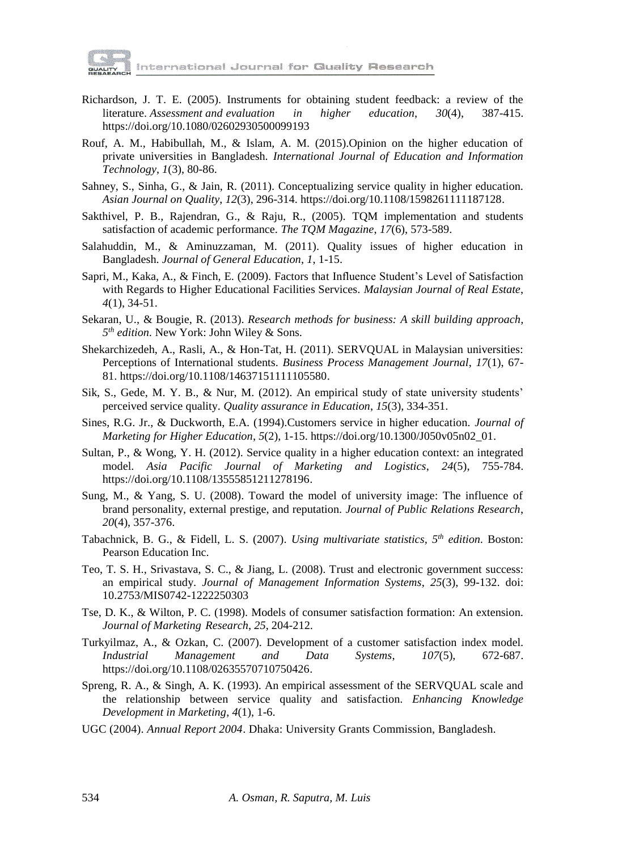

International Journal for Quality Research

- Richardson, J. T. E. (2005). Instruments for obtaining student feedback: a review of the literature. *Assessment and evaluation in higher education*, *30*(4), 387-415. https://doi.org/10.1080/02602930500099193
- Rouf, A. M., Habibullah, M., & Islam, A. M. (2015).Opinion on the higher education of private universities in Bangladesh. *International Journal of Education and Information Technology*, *1*(3), 80-86.
- Sahney, S., Sinha, G., & Jain, R. (2011). Conceptualizing service quality in higher education. *Asian Journal on Quality*, *12*(3), 296-314. https://doi.org/10.1108/1598261111187128.
- Sakthivel, P. B., Rajendran, G., & Raju, R., (2005). TQM implementation and students satisfaction of academic performance. *The TQM Magazine*, *17*(6), 573-589.
- Salahuddin, M., & Aminuzzaman, M. (2011). Quality issues of higher education in Bangladesh. *Journal of General Education*, *1*, 1-15.
- Sapri, M., Kaka, A., & Finch, E. (2009). Factors that Influence Student's Level of Satisfaction with Regards to Higher Educational Facilities Services. *Malaysian Journal of Real Estate*, *4*(1), 34-51.
- Sekaran, U., & Bougie, R. (2013). *Research methods for business: A skill building approach, 5 th edition.* New York: John Wiley & Sons.
- Shekarchizedeh, A., Rasli, A., & Hon-Tat, H. (2011). SERVQUAL in Malaysian universities: Perceptions of International students. *Business Process Management Journal*, *17*(1), 67- 81. https://doi.org/10.1108/14637151111105580.
- Sik, S., Gede, M. Y. B., & Nur, M. (2012). An empirical study of state university students' perceived service quality. *Quality assurance in Education*, *15*(3), 334-351.
- Sines, R.G. Jr., & Duckworth, E.A. (1994).Customers service in higher education. *Journal of Marketing for Higher Education*, *5*(2), 1-15. https://doi.org/10.1300/J050v05n02\_01.
- Sultan, P., & Wong, Y. H. (2012). Service quality in a higher education context: an integrated model. *Asia Pacific Journal of Marketing and Logistics*, *24*(5), 755-784. https://doi.org/10.1108/13555851211278196.
- Sung, M., & Yang, S. U. (2008). Toward the model of university image: The influence of brand personality, external prestige, and reputation. *Journal of Public Relations Research*, *20*(4), 357-376.
- Tabachnick, B. G., & Fidell, L. S. (2007). *Using multivariate statistics, 5 th edition.* Boston: Pearson Education Inc.
- Teo, T. S. H., Srivastava, S. C., & Jiang, L. (2008). Trust and electronic government success: an empirical study. *Journal of Management Information Systems*, *25*(3), 99-132. doi: 10.2753/MIS0742-1222250303
- Tse, D. K., & Wilton, P. C. (1998). Models of consumer satisfaction formation: An extension. *Journal of Marketing Research*, *25*, 204-212.
- Turkyilmaz, A., & Ozkan, C. (2007). Development of a customer satisfaction index model. *Industrial Management and Data Systems*, *107*(5), 672-687. https://doi.org/10.1108/02635570710750426.
- Spreng, R. A., & Singh, A. K. (1993). An empirical assessment of the SERVQUAL scale and the relationship between service quality and satisfaction. *Enhancing Knowledge Development in Marketing*, *4*(1), 1-6.
- UGC (2004). *Annual Report 2004*. Dhaka: University Grants Commission, Bangladesh.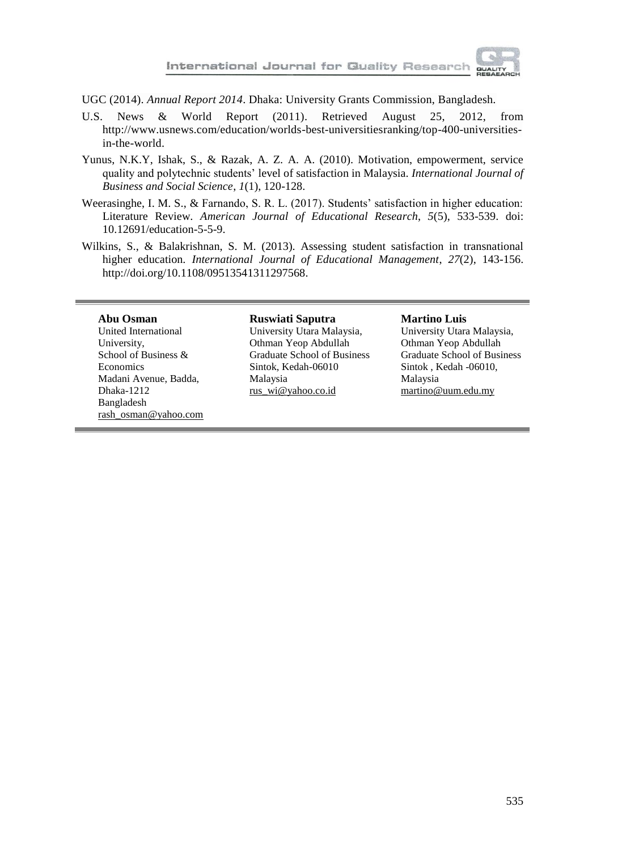

UGC (2014). *Annual Report 2014*. Dhaka: University Grants Commission, Bangladesh.

- U.S. News & World Report (2011). Retrieved August 25, 2012, from http://www.usnews.com/education/worlds-best-universitiesranking/top-400-universitiesin-the-world.
- Yunus, N.K.Y, Ishak, S., & Razak, A. Z. A. A. (2010). Motivation, empowerment, service quality and polytechnic students' level of satisfaction in Malaysia. *International Journal of Business and Social Science*, *1*(1), 120-128.
- Weerasinghe, I. M. S., & Farnando, S. R. L. (2017). Students' satisfaction in higher education: Literature Review. *American Journal of Educational Research*, *5*(5), 533-539. doi: 10.12691/education-5-5-9.
- Wilkins, S., & Balakrishnan, S. M. (2013). Assessing student satisfaction in transnational higher education. *International Journal of Educational Management*, *27*(2), 143-156. http://doi.org/10.1108/09513541311297568.

#### **Abu Osman**

United International University, School of Business & Economics Madani Avenue, Badda, Dhaka-1212 Bangladesh [rash\\_osman@yahoo.com](mailto:rash_osman@yahoo.com)

#### **Ruswiati Saputra**

University Utara Malaysia, Othman Yeop Abdullah Graduate School of Business Sintok, Kedah-06010 Malaysia [rus\\_wi@yahoo.co.id](mailto:rus_wi@yahoo.co.id)

#### **Martino Luis**

University Utara Malaysia, Othman Yeop Abdullah Graduate School of Business Sintok , Kedah -06010, Malaysia [martino@uum.edu.my](mailto:martino@uum.edu.my)